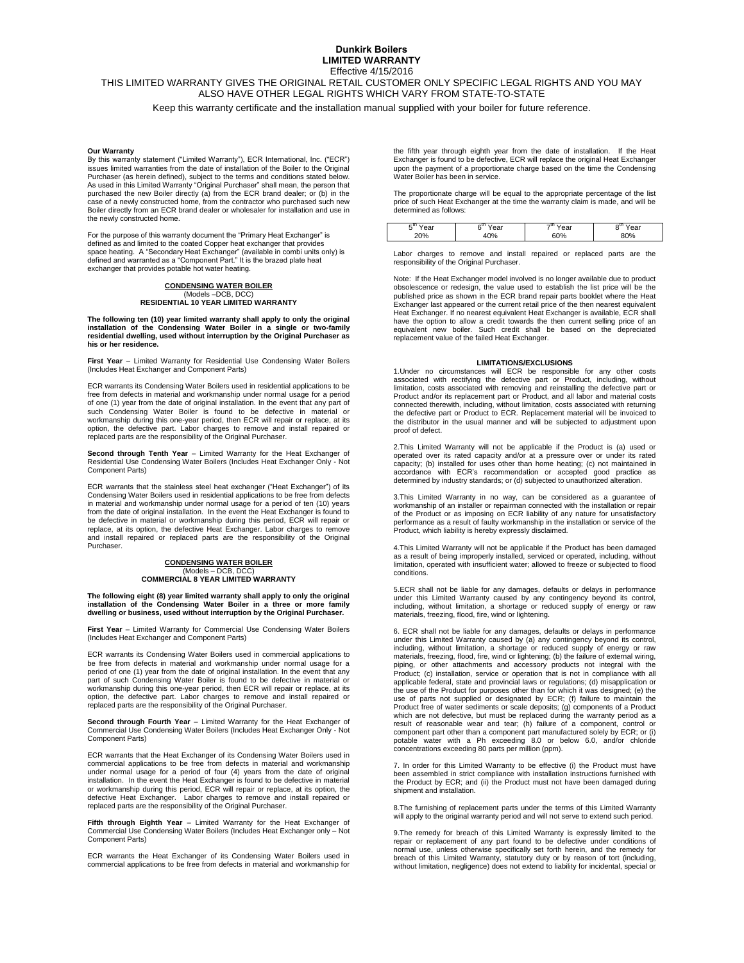### **Dunkirk Boilers LIMITED WARRANTY**  Effective 4/15/2016

## THIS LIMITED WARRANTY GIVES THE ORIGINAL RETAIL CUSTOMER ONLY SPECIFIC LEGAL RIGHTS AND YOU MAY ALSO HAVE OTHER LEGAL RIGHTS WHICH VARY FROM STATE-TO-STATE Keep this warranty certificate and the installation manual supplied with your boiler for future reference.

#### **Our Warranty**

By this warranty statement ("Limited Warranty"), ECR International, Inc. ("ECR") issues limited warranties from the date of installation of the Boiler to the Original Purchaser (as herein defined), subject to the terms and conditions stated below. As used in this Limited Warranty "Original Purchaser" shall mean, the person that purchased the new Boiler directly (a) from the ECR brand dealer; or (b) in the case of a newly constructed home, from the contractor who purchased such new Boiler directly from an ECR brand dealer or wholesaler for installation and use in the newly constructed home.

For the purpose of this warranty document the "Primary Heat Exchanger" is defined as and limited to the coated Copper heat exchanger that provides space heating. A "Secondary Heat Exchanger" (available in combi units only) is defined and warranted as a "Component Part." It is the brazed plate heat exchanger that provides potable hot water heating.

## **CONDENSING WATER BOILER**  (Models –DCB, DCC) **RESIDENTIAL 10 YEAR LIMITED WARRANTY**

The following ten (10) year limited warranty shall apply to only the original<br>installation of the Condensing Water Boiler in a single or two-family<br>residential dwelling, used without interruption by the Original **his or her residence.** 

**First Year** – Limited Warranty for Residential Use Condensing Water Boilers (Includes Heat Exchanger and Component Parts)

ECR warrants its Condensing Water Boilers used in residential applications to be free from defects in material and workmanship under normal usage for a period of one (1) year from the date of original installation. In the event that any part of such Condensing Water Boiler is found to be defective in material or workmanship during this one-year period, then ECR will repair or replace, at its option, the defective part. Labor charges to remove and install repaired or replaced parts are the responsibility of the Original Purchaser.

**Second through Tenth Year** – Limited Warranty for the Heat Exchanger of Residential Use Condensing Water Boilers (Includes Heat Exchanger Only - Not Component Parts)

ECR warrants that the stainless steel heat exchanger ("Heat Exchanger") of its Condensing Water Boilers used in residential applications to be free from defects in material and workmanship under normal usage for a period of ten (10) years from the date of original installation. In the event the Heat Exchanger is found to be defective in material or workmanship during this period, ECR will repair or replace, at its option, the defective Heat Exchanger. Labor charges to remove and install repaired or replaced parts are the responsibility of the Original Purchaser.

# **CONDENSING WATER BOILER**  (Models – DCB, DCC) **COMMERCIAL 8 YEAR LIMITED WARRANTY**

The following eight (8) year limited warranty shall apply to only the original<br>installation of the Condensing Water Boiler in a three or more family<br>dwelling or business, used without interruption by the Origina

**First Year** – Limited Warranty for Commercial Use Condensing Water Boilers (Includes Heat Exchanger and Component Parts)

ECR warrants its Condensing Water Boilers used in commercial applications to be free from defects in material and workmanship under normal usage for a period of one (1) year from the date of original installation. In the event that any part of such Condensing Water Boiler is found to be defective in material or workmanship during this one-year period, then ECR will repair or replace, at its option, the defective part. Labor charges to remove and install repaired or replaced parts are the responsibility of the Original Purchaser.

**Second through Fourth Year** – Limited Warranty for the Heat Exchanger of Commercial Use Condensing Water Boilers (Includes Heat Exchanger Only - Not Component Parts)

ECR warrants that the Heat Exchanger of its Condensing Water Boilers used in commercial applications to be free from defects in material and workmanship under normal usage for a period of four (4) years from the date of original<br>installation. In the event the Heat Exchanger is found to be defective in material<br>or workmanship during this period, ECR will repair or replace, defective Heat Exchanger. Labor charges to remove and install repaired or replaced parts are the responsibility of the Original Purchaser.

**Fifth through Eighth Year** – Limited Warranty for the Heat Exchanger of Commercial Use Condensing Water Boilers (Includes Heat Exchanger only – Not Component Parts)

ECR warrants the Heat Exchanger of its Condensing Water Boilers used in commercial applications to be free from defects in material and workmanship for the fifth year through eighth year from the date of installation. If the Heat Exchanger is found to be defective, ECR will replace the original Heat Exchanger upon the payment of a proportionate charge based on the time the Condensing Water Boiler has been in service.

The proportionate charge will be equal to the appropriate percentage of the list price of such Heat Exchanger at the time the warranty claim is made, and will be determined as follows:

| $-1$<br>., | ∼u<br>$\sim$<br>3d' | 74<br>i eal | eal |
|------------|---------------------|-------------|-----|
| 20%        | 0%                  | 60%         | 80% |
|            |                     |             |     |

Labor charges to remove and install repaired or replaced parts are the responsibility of the Original Purchaser.

Note: If the Heat Exchanger model involved is no longer available due to product obsolescence or redesign, the value used to establish the list price will be the published price as shown in the ECR brand repair parts booklet where the Heat Exchanger last appeared or the current retail price of the then nearest equivalent Heat Exchanger. If no nearest equivalent Heat Exchanger is available, ECR shall have the option to allow a credit towards the then current selling price of an equivalent new boiler. Such credit shall be based on the depreciated replacement value of the failed Heat Exchanger.

#### **LIMITATIONS/EXCLUSIONS**

1.Under no circumstances will ECR be responsible for any other costs associated with rectifying the defective part or Product, including, without limitation, costs associated with removing and reinstalling the defective part or Product and/or its replacement part or Product, and all labor and material costs connected therewith, including, without limitation, costs associated with returning the defective part or Product to ECR. Replacement material will be invoiced to the distributor in the usual manner and will be subjected to adjustment upon proof of defect.

2.This Limited Warranty will not be applicable if the Product is (a) used or operated over its rated capacity and/or at a pressure over or under its rated capacity; (b) installed for uses other than home heating; (c) not maintained in accordance with ECR's recommendation or accepted good practice as determined by industry standards; or (d) subjected to unauthorized alteration.

3.This Limited Warranty in no way, can be considered as a guarantee of workmanship of an installer or repairman connected with the installation or repair of the Product or as imposing on ECR liability of any nature for unsatisfactory performance as a result of faulty workmanship in the installation or service of the Product, which liability is hereby expressly disclaimed.

4.This Limited Warranty will not be applicable if the Product has been damaged as a result of being improperly installed, serviced or operated, including, without limitation, operated with insufficient water; allowed to freeze or subjected to flood conditions.

5.ECR shall not be liable for any damages, defaults or delays in performance under this Limited Warranty caused by any contingency beyond its control, including, without limitation, a shortage or reduced supply of energy or raw materials, freezing, flood, fire, wind or lightening.

6. ECR shall not be liable for any damages, defaults or delays in performance under this Limited Warranty caused by (a) any contingency beyond its control, including, without limitation, a shortage or reduced supply of energy or raw materials, freezing, flood, fire, wind or lightening; (b) the failure of external wiring,<br>piping, or other attachments and accessory products not integral with the<br>Product; (c) installation, service or operat applicable federal, state and provincial laws or regulations; (d) misapplication or the use of the Product for purposes other than for which it was designed; (e) the use of parts not supplied or designated by ECR; (f) failure to maintain the Product free of water sediments or scale deposits; (g) components of a Product which are not defective, but must be replaced during the warranty period as a result of reasonable wear and tear; (h) failure of a component, control or component part other than a component part manufactured solely by ECR; or (i) potable water with a Ph exceeding 8.0 or below 6.0, and/or chloride concentrations exceeding 80 parts per million (ppm).

7. In order for this Limited Warranty to be effective (i) the Product must have been assembled in strict compliance with installation instructions furnished with the Product by ECR; and (ii) the Product must not have been damaged during shipment and installation.

8.The furnishing of replacement parts under the terms of this Limited Warranty will apply to the original warranty period and will not serve to extend such period.

9.The remedy for breach of this Limited Warranty is expressly limited to the repair or replacement of any part found to be defective under conditions of normal use, unless otherwise specifically set forth herein, and the remedy for breach of this Limited Warranty, statutory duty or by reason of tort (including, without limitation, negligence) does not extend to liability for incidental, special or